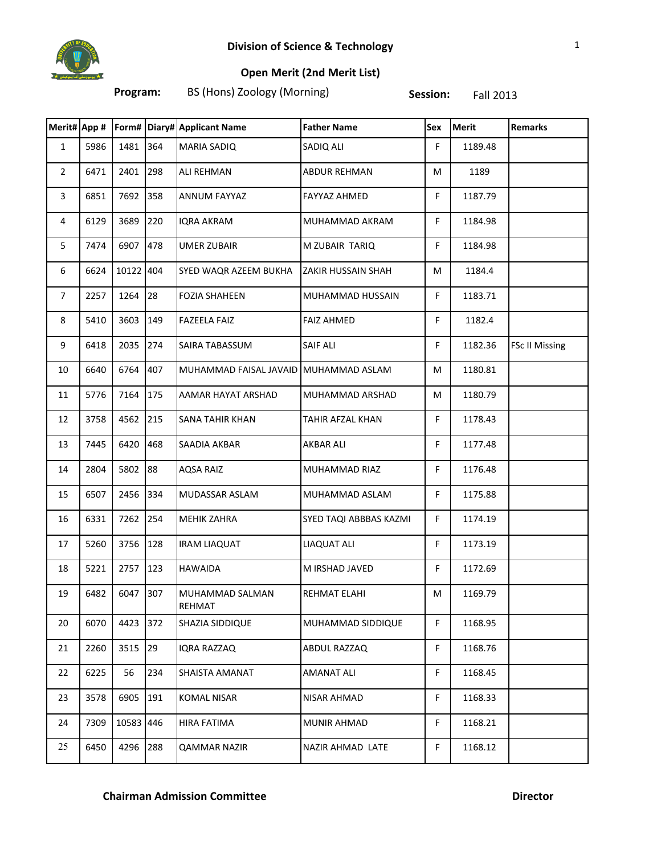

## **Open Merit (2nd Merit List)**

**Program:** BS (Hons) Zoology (Morning) **Session:** Fall 2013

|                |      |           |     | Merit# App #   Form# Diary# Applicant Name | <b>Father Name</b>     | Sex | <b>Merit</b> | <b>Remarks</b>        |
|----------------|------|-----------|-----|--------------------------------------------|------------------------|-----|--------------|-----------------------|
| $\mathbf{1}$   | 5986 | 1481      | 364 | <b>MARIA SADIQ</b>                         | SADIQ ALI              | F.  | 1189.48      |                       |
| $\overline{2}$ | 6471 | 2401      | 298 | <b>ALI REHMAN</b>                          | <b>ABDUR REHMAN</b>    | M   | 1189         |                       |
| 3              | 6851 | 7692      | 358 | <b>ANNUM FAYYAZ</b>                        | <b>FAYYAZ AHMED</b>    | F.  | 1187.79      |                       |
| 4              | 6129 | 3689      | 220 | <b>IQRA AKRAM</b>                          | MUHAMMAD AKRAM         | F.  | 1184.98      |                       |
| 5              | 7474 | 6907      | 478 | <b>UMER ZUBAIR</b>                         | M ZUBAIR TARIQ         | F.  | 1184.98      |                       |
| 6              | 6624 | 10122 404 |     | SYED WAQR AZEEM BUKHA                      | ZAKIR HUSSAIN SHAH     | M   | 1184.4       |                       |
| $\overline{7}$ | 2257 | 1264      | 28  | <b>FOZIA SHAHEEN</b>                       | MUHAMMAD HUSSAIN       | F.  | 1183.71      |                       |
| 8              | 5410 | 3603      | 149 | <b>FAZEELA FAIZ</b>                        | <b>FAIZ AHMED</b>      | F.  | 1182.4       |                       |
| 9              | 6418 | 2035      | 274 | SAIRA TABASSUM                             | <b>SAIF ALI</b>        | F   | 1182.36      | <b>FSc II Missing</b> |
| 10             | 6640 | 6764      | 407 | MUHAMMAD FAISAL JAVAID MUHAMMAD ASLAM      |                        | М   | 1180.81      |                       |
| 11             | 5776 | 7164      | 175 | AAMAR HAYAT ARSHAD                         | MUHAMMAD ARSHAD        | М   | 1180.79      |                       |
| 12             | 3758 | 4562      | 215 | SANA TAHIR KHAN                            | TAHIR AFZAL KHAN       | F.  | 1178.43      |                       |
| 13             | 7445 | 6420      | 468 | SAADIA AKBAR                               | <b>AKBAR ALI</b>       | F   | 1177.48      |                       |
| 14             | 2804 | 5802      | 88  | <b>AQSA RAIZ</b>                           | MUHAMMAD RIAZ          | F.  | 1176.48      |                       |
| 15             | 6507 | 2456      | 334 | <b>MUDASSAR ASLAM</b>                      | MUHAMMAD ASLAM         | F.  | 1175.88      |                       |
| 16             | 6331 | 7262      | 254 | <b>MEHIK ZAHRA</b>                         | SYED TAQI ABBBAS KAZMI | F.  | 1174.19      |                       |
| 17             | 5260 | 3756      | 128 | <b>IRAM LIAQUAT</b>                        | LIAQUAT ALI            | F.  | 1173.19      |                       |
| 18             | 5221 | 2757      | 123 | <b>HAWAIDA</b>                             | M IRSHAD JAVED         | F   | 1172.69      |                       |
| 19             | 6482 | 6047      | 307 | MUHAMMAD SALMAN<br>REHMAT                  | REHMAT ELAHI           | M   | 1169.79      |                       |
| 20             | 6070 | 4423      | 372 | SHAZIA SIDDIQUE                            | MUHAMMAD SIDDIQUE      | F   | 1168.95      |                       |
| 21             | 2260 | 3515      | 29  | IQRA RAZZAQ                                | ABDUL RAZZAQ           | F.  | 1168.76      |                       |
| 22             | 6225 | 56        | 234 | SHAISTA AMANAT                             | <b>AMANAT ALI</b>      | F.  | 1168.45      |                       |
| 23             | 3578 | 6905      | 191 | KOMAL NISAR                                | NISAR AHMAD            | F.  | 1168.33      |                       |
| 24             | 7309 | 10583 446 |     | HIRA FATIMA                                | MUNIR AHMAD            | F   | 1168.21      |                       |
| 25             | 6450 | 4296      | 288 | QAMMAR NAZIR                               | NAZIR AHMAD LATE       | F.  | 1168.12      |                       |